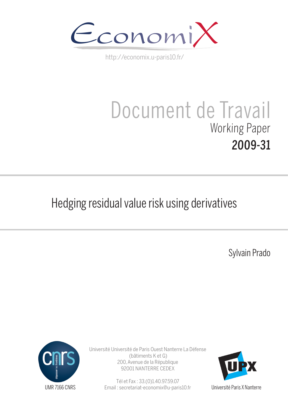

http://economix.u-paris10.fr/

# Document de Travail Working Paper 2009-31

# Hedging residual value risk using derivatives

Sylvain Prado



Université Université de Paris Ouest Nanterre La Défense (bâtiments K et G) 200, Avenue de la République 92001 NANTERRE CEDEX

> Tél et Fax : 33.(0)1.40.97.59.07 Email : secretariat-economix@u-paris10.fr



Université Paris X Nanterre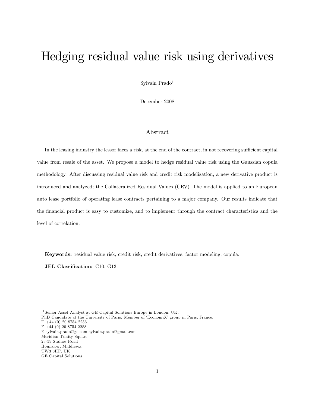# Hedging residual value risk using derivatives

Sylvain Prado<sup>1</sup>

December 2008

#### Abstract

In the leasing industry the lessor faces a risk, at the end of the contract, in not recovering sufficient capital value from resale of the asset. We propose a model to hedge residual value risk using the Gaussian copula methodology. After discussing residual value risk and credit risk modelization, a new derivative product is introduced and analyzed; the Collateralized Residual Values (CRV). The model is applied to an European auto lease portfolio of operating lease contracts pertaining to a major company. Our results indicate that the Önancial product is easy to customize, and to implement through the contract characteristics and the level of correlation.

Keywords: residual value risk, credit risk, credit derivatives, factor modeling, copula.

JEL Classification: C10, G13.

- PhD Candidate at the University of Paris. Member of 'EconomiX' group in Paris, France.
- T +44 (0) 20 8754 2256
- F +44 (0) 20 8754 2288
- E sylvain.prado@ge.com sylvain.prado@gmail.com
- Meridian Trinity Square
- 23-59 Staines Road Hounslow, Middlesex
- TW3 3HF, UK

<sup>1</sup> Senior Asset Analyst at GE Capital Solutions Europe in London, UK.

GE Capital Solutions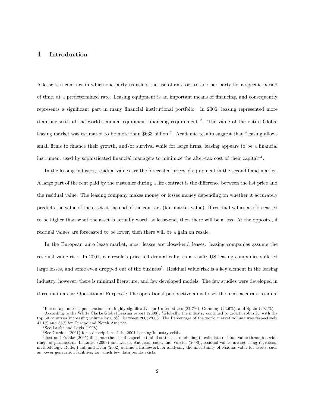#### 1 Introduction

A lease is a contract in which one party transfers the use of an asset to another party for a specific period of time, at a predetermined rate. Leasing equipment is an important means of financing, and consequently represents a significant part in many financial institutional portfolio. In 2006, leasing represented more than one-sixth of the world's annual equipment financing requirement <sup>2</sup>. The value of the entire Global leasing market was estimated to be more than \$633 billion  $3$ . Academic results suggest that "leasing allows small firms to finance their growth, and/or survival while for large firms, leasing appears to be a financial instrument used by sophisticated financial managers to minimize the after-tax cost of their capital<sup>44</sup>.

In the leasing industry, residual values are the forecasted prices of equipment in the second hand market. A large part of the rent paid by the customer during a life contract is the difference between the list price and the residual value. The leasing company makes money or losses money depending on whether it accurately predicts the value of the asset at the end of the contract (fair market value). If residual values are forecasted to be higher than what the asset is actually worth at lease-end, then there will be a loss. At the opposite, if residual values are forecasted to be lower, then there will be a gain on resale.

In the European auto lease market, most leases are closed-end leases: leasing companies assume the residual value risk. In 2001, car resale's price fell dramatically, as a result; US leasing companies suffered large losses, and some even dropped out of the business<sup>5</sup>. Residual value risk is a key element in the leasing industry, however; there is minimal literature, and few developed models. The few studies were developed in three main areas; Operational Purpose<sup>6</sup>; The operational perspective aims to set the most accurate residual

<sup>&</sup>lt;sup>2</sup>Percentage market penetrations are highly significatives in United states  $(27.7\%)$ , Germany  $(23.6\%)$ , and Spain  $(29.1\%)$ .

<sup>3</sup>According to the White Clarke Global Leasing report (2008), "Globally, the industry contnued to growth robustly, with the top 50 countries increasing volume by 8.8%" between 2005-2006. The Percentage of the world market volume was respectively 41.1% and 38% for Europe and North America.

<sup>4</sup> See Lasfer and Levis (1998)

<sup>&</sup>lt;sup>5</sup> See Gordon (2001) for a description of the 2001 Leasing industry crisis.

 $6$  Jost and Franke (2005) illustrate the use of a specific tool of statistical modelling to calculate residual value through a wide range of parameters. In Lucko (2003) and Lucko, Anderson-cook, and Vorster (2006), residual values are set using regression methodology. Rode, Paul, and Dean (2002) outline a framework for analysing the uncertainty of residual value for assets, such as power generation facilities, for which few data points exists.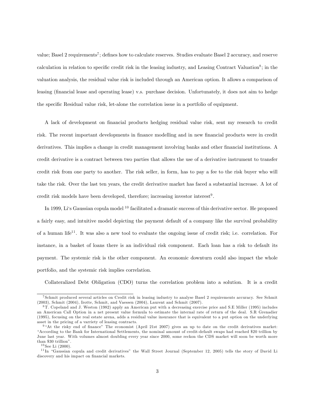value; Basel 2 requirements<sup>7</sup>; defines how to calculate reserves. Studies evaluate Basel 2 accuracy, and reserve calculation in relation to specific credit risk in the leasing industry, and Leasing Contract Valuation<sup>8</sup>; in the valuation analysis, the residual value risk is included through an American option. It allows a comparison of leasing (financial lease and operating lease) v.s. purchase decision. Unfortunately, it does not aim to hedge the specific Residual value risk, let-alone the correlation issue in a portfolio of equipment.

A lack of development on Önancial products hedging residual value risk, sent my research to credit risk. The recent important developments in finance modelling and in new financial products were in credit derivatives. This implies a change in credit management involving banks and other financial institutions. A credit derivative is a contract between two parties that allows the use of a derivative instrument to transfer credit risk from one party to another. The risk seller, in form, has to pay a fee to the risk buyer who will take the risk. Over the last ten years, the credit derivative market has faced a substantial increase. A lot of credit risk models have been developed, therefore; increasing investor interest<sup>9</sup>.

In 1999, Liës Gaussian copula model <sup>10</sup> facilitated a dramatic success of this derivative sector. He proposed a fairly easy, and intuitive model depicting the payment default of a company like the survival probability of a human life<sup>11</sup>. It was also a new tool to evaluate the ongoing issue of credit risk; i.e. correlation. For instance, in a basket of loans there is an individual risk component. Each loan has a risk to default its payment. The systemic risk is the other component. An economic downturn could also impact the whole portfolio, and the systemic risk implies correlation.

Collateralized Debt Obligation (CDO) turns the correlation problem into a solution. It is a credit

<sup>7</sup> Schmit produced several articles on Credit risk in leasing industry to analyse Basel 2 requirements accuracy. See Schmit (2003), Schmit (2004), Irotte, Schmit, and Vaessen (2004), Laurent and Schmit (2007).

<sup>8</sup> T. Copeland and J. Weston (1982) apply an American put with a decreasing exercise price and S.E Miller (1995) includes an American Call Option in a net present value formula to estimate the internal rate of return of the deal. S.R Grenadier (1995), focusing on the real estate arena, adds a residual value insurance that is equivalent to a put option on the underlying asset in the pricing of a varriety of leasing contracts.

 $9$  <sup>9</sup>At the risky end of finance" The economist (April 21st 2007) gives an up to date on the credit derivatives market: ìAccording to the Bank for International Settlements, the nominal amount of credit-default swaps had reached \$20 trillion by June last year. With volumes almost doubling every year since 2000, some reckon the CDS market will soon be worth more than \$30 trillion".

 $10$  See Li (2000).

 $11$ In "Gaussian copula and credit derivatives" the Wall Street Journal (September 12, 2005) tells the story of David Li discovery and his impact on financial markets.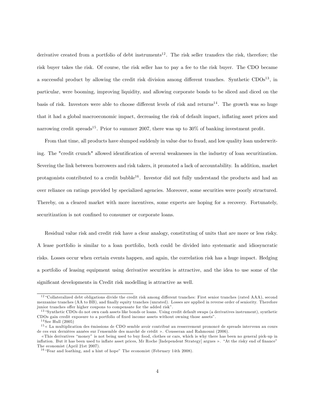derivative created from a portfolio of debt instruments<sup>12</sup>. The risk seller transfers the risk, therefore; the risk buyer takes the risk. Of course, the risk seller has to pay a fee to the risk buyer. The CDO became a successful product by allowing the credit risk division among different tranches. Synthetic  $CDOs<sup>13</sup>$ , in particular, were booming, improving liquidity, and allowing corporate bonds to be sliced and diced on the basis of risk. Investors were able to choose different levels of risk and returns<sup>14</sup>. The growth was so huge that it had a global macroeconomic impact, decreasing the risk of default impact, ináating asset prices and narrowing credit spreads<sup>15</sup>. Prior to summer 2007, there was up to  $30\%$  of banking investment profit.

From that time, all products have slumped suddenly in value due to fraud, and low quality loan underwriting. The "credit crunch" allowed identification of several weaknesses in the industry of loan securitization. Severing the link between borrowers and risk takers, it promoted a lack of accountability. In addition, market protagonists contributed to a credit bubble<sup>16</sup>. Investor did not fully understand the products and had an over reliance on ratings provided by specialized agencies. Moreover, some securities were poorly structured. Thereby, on a cleared market with more incentives, some experts are hoping for a recovery. Fortunately, securitization is not confined to consumer or corporate loans.

Residual value risk and credit risk have a clear analogy, constituting of units that are more or less risky. A lease portfolio is similar to a loan portfolio, both could be divided into systematic and idiosyncratic risks. Losses occur when certain events happen, and again, the correlation risk has a huge impact. Hedging a portfolio of leasing equipment using derivative securities is attractive, and the idea to use some of the significant developments in Credit risk modelling is attractive as well.

 $12$  "Collateralized debt obligations divide the credit risk among different tranches: First senior tranches (rated AAA), second mezzanine tranches (AA to BB), and finally equity tranches (unrated). Losses are applied in reverse order of seniority. Therefore junior tranches offer higher coupons to compensate for the added risk".

<sup>&</sup>lt;sup>13</sup> "Synthetic CDOs do not own cash assets like bonds or loans. Using credit default swaps (a derivatives instrument), synthetic CDOs gain credit exposure to a portfolio of fixed income assets without owning those assets".

 $14$  See Hull (2005)

 $15$   $\kappa$  La multiplication des émissions de CDO semble avoir contribué au resserrement prononcé de spreads intervenu au cours de ces eux dernières années sur l'ensemble des marché de crédit ». Cousseran and Rahmouni (2006).

<sup>«</sup>This derivatives "money" is not being used to buy food, clothes or cars, which is why there has been no general pick-up in inflation. But it has been used to inflate asset prices, Mr Roche [Independent Strategy] argues ». "At the risky end of finance" The economist (April 21st 2007).

 $^{16}$  "Fear and loathing, and a hint of hope" The economist (February 14th 2008).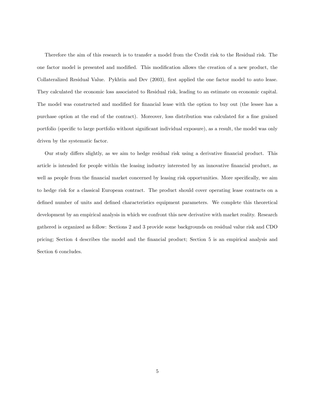Therefore the aim of this research is to transfer a model from the Credit risk to the Residual risk. The one factor model is presented and modified. This modification allows the creation of a new product, the Collateralized Residual Value. Pykhtin and Dev (2003), Örst applied the one factor model to auto lease. They calculated the economic loss associated to Residual risk, leading to an estimate on economic capital. The model was constructed and modified for financial lease with the option to buy out (the lessee has a purchase option at the end of the contract). Moreover, loss distribution was calculated for a fine grained portfolio (specific to large portfolio without significant individual exposure), as a result, the model was only driven by the systematic factor.

Our study differs slightly, as we aim to hedge residual risk using a derivative financial product. This article is intended for people within the leasing industry interested by an innovative Önancial product, as well as people from the financial market concerned by leasing risk opportunities. More specifically, we aim to hedge risk for a classical European contract. The product should cover operating lease contracts on a defined number of units and defined characteristics equipment parameters. We complete this theoretical development by an empirical analysis in which we confront this new derivative with market reality. Research gathered is organized as follow: Sections 2 and 3 provide some backgrounds on residual value risk and CDO pricing; Section 4 describes the model and the Önancial product; Section 5 is an empirical analysis and Section 6 concludes.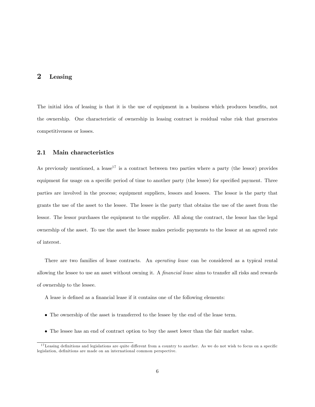### 2 Leasing

The initial idea of leasing is that it is the use of equipment in a business which produces benefits, not the ownership. One characteristic of ownership in leasing contract is residual value risk that generates competitiveness or losses.

#### 2.1 Main characteristics

As previously mentioned, a lease<sup>17</sup> is a contract between two parties where a party (the lessor) provides equipment for usage on a specific period of time to another party (the lessee) for specified payment. Three parties are involved in the process; equipment suppliers, lessors and lessees. The lessor is the party that grants the use of the asset to the lessee. The lessee is the party that obtains the use of the asset from the lessor. The lessor purchases the equipment to the supplier. All along the contract, the lessor has the legal ownership of the asset. To use the asset the lessee makes periodic payments to the lessor at an agreed rate of interest.

There are two families of lease contracts. An *operating lease* can be considered as a typical rental allowing the lessee to use an asset without owning it. A *financial lease* aims to transfer all risks and rewards of ownership to the lessee.

- A lease is defined as a financial lease if it contains one of the following elements:
- The ownership of the asset is transferred to the lessee by the end of the lease term.
- The lessee has an end of contract option to buy the asset lower than the fair market value.

 $17$  Leasing definitions and legislations are quite different from a country to another. As we do not wish to focus on a specific legislation, definitions are made on an international common perspective.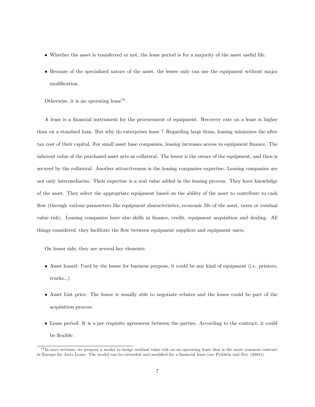- Whether the asset is transferred or not, the lease period is for a majority of the asset useful life.
- Because of the specialized nature of the asset, the lessee only can use the equipment without major modification.

Otherwise, it is an operating lease<sup>18</sup>.

A lease is a financial instrument for the procurement of equipment. Recovery rate on a lease is higher than on a standard loan. But why do enterprises lease? Regarding large firms, leasing minimizes the after tax cost of their capital. For small asset base companies, leasing increases access to equipment finance. The inherent value of the purchased asset acts as collateral. The lessor is the owner of the equipment, and then is secured by the collateral. Another attractiveness is the leasing companies expertise. Leasing companies are not only intermediaries. Their expertise is a real value added in the leasing process. They have knowledge of the asset. They select the appropriate equipment based on the ability of the asset to contribute to cash flow (through various parameters like equipment characteristics, economic life of the asset, taxes or residual value risk). Leasing companies have also skills in Önance, credit, equipment acquisition and dealing. All things considered, they facilitate the flow between equipment suppliers and equipment users.

On lessor side, they are several key elements:

- Asset leased: Used by the lessee for business purpose, it could be any kind of equipment (i.e. printers, trucks...)
- Asset List price: The lessor is usually able to negotiate rebates and the lessee could be part of the acquisition process.
- Lease period: It is a pre requisite agreement between the parties. According to the contract, it could be flexible.

<sup>&</sup>lt;sup>18</sup>In next sections, we propose a model to hedge residual value risk on an operating lease that is the most common contract in Europe for Auto Lease. The model can be extended and modified for a financial lease (see Pykhtin and Dev (2003)).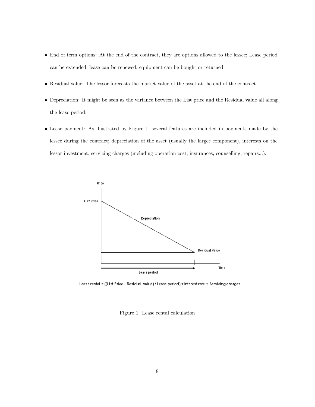- End of term options: At the end of the contract, they are options allowed to the lessee; Lease period can be extended, lease can be renewed, equipment can be bought or returned.
- Residual value: The lessor forecasts the market value of the asset at the end of the contract.
- Depreciation: It might be seen as the variance between the List price and the Residual value all along the lease period.
- Lease payment: As illustrated by Figure 1, several features are included in payments made by the lessee during the contract; depreciation of the asset (usually the larger component), interests on the lessor investment, servicing charges (including operation cost, insurances, counselling, repairs...).



Lease rental = ((List Price - Residual Value) / Lease period) + interest rate + Servicing charges

Figure 1: Lease rental calculation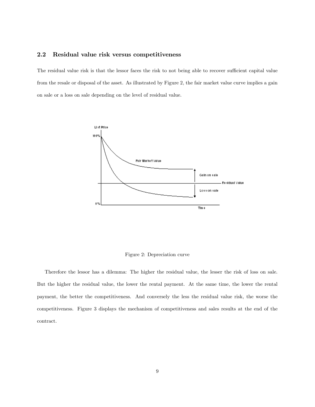#### 2.2 Residual value risk versus competitiveness

The residual value risk is that the lessor faces the risk to not being able to recover sufficient capital value from the resale or disposal of the asset. As illustrated by Figure 2, the fair market value curve implies a gain on sale or a loss on sale depending on the level of residual value.



Figure 2: Depreciation curve

Therefore the lessor has a dilemma: The higher the residual value, the lesser the risk of loss on sale. But the higher the residual value, the lower the rental payment. At the same time, the lower the rental payment, the better the competitiveness. And conversely the less the residual value risk, the worse the competitiveness. Figure 3 displays the mechanism of competitiveness and sales results at the end of the contract.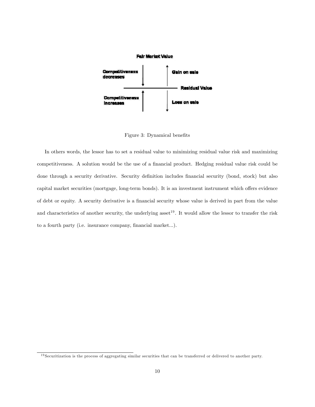

Figure 3: Dynamical benefits

In others words, the lessor has to set a residual value to minimizing residual value risk and maximizing competitiveness. A solution would be the use of a financial product. Hedging residual value risk could be done through a security derivative. Security definition includes financial security (bond, stock) but also capital market securities (mortgage, long-term bonds). It is an investment instrument which offers evidence of debt or equity. A security derivative is a financial security whose value is derived in part from the value and characteristics of another security, the underlying asset<sup>19</sup>. It would allow the lessor to transfer the risk to a fourth party (i.e. insurance company, financial market...).

<sup>&</sup>lt;sup>19</sup> Securitization is the process of aggregating similar securities that can be transferred or delivered to another party.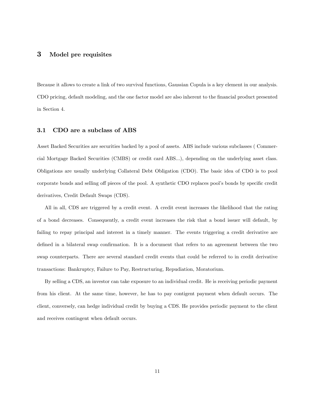#### 3 Model pre requisites

Because it allows to create a link of two survival functions, Gaussian Copula is a key element in our analysis. CDO pricing, default modeling, and the one factor model are also inherent to the financial product presented in Section 4.

#### 3.1 CDO are a subclass of ABS

Asset Backed Securities are securities backed by a pool of assets. ABS include various subclasses ( Commercial Mortgage Backed Securities (CMBS) or credit card ABS...), depending on the underlying asset class. Obligations are usually underlying Collateral Debt Obligation (CDO). The basic idea of CDO is to pool corporate bonds and selling off pieces of the pool. A synthetic CDO replaces pool's bonds by specific credit derivatives, Credit Default Swaps (CDS).

All in all, CDS are triggered by a credit event. A credit event increases the likelihood that the rating of a bond decreases. Consequently, a credit event increases the risk that a bond issuer will default, by failing to repay principal and interest in a timely manner. The events triggering a credit derivative are defined in a bilateral swap confirmation. It is a document that refers to an agreement between the two swap counterparts. There are several standard credit events that could be referred to in credit derivative transactions: Bankruptcy, Failure to Pay, Restructuring, Repudiation, Moratorium.

By selling a CDS, an investor can take exposure to an individual credit. He is receiving periodic payment from his client. At the same time, however, he has to pay contigent payment when default occurs. The client, conversely, can hedge individual credit by buying a CDS. He provides periodic payment to the client and receives contingent when default occurs.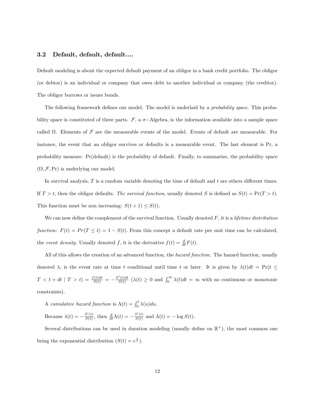#### 3.2 Default, default, default....

Default modeling is about the expected default payment of an obligor in a bank credit portfolio. The obligor (or debtor) is an individual or company that owes debt to another individual or company (the creditor). The obligor borrows or issues bonds.

The following framework defines our model. The model is underlaid by a *probability space*. This probability space is constituted of three parts.  $\mathcal{F}$ , a  $\sigma$ -Algebra, is the information available into a sample space called  $\Omega$ . Elements of  $\mathcal F$  are the measurable events of the model. Events of default are measurable. For instance, the event that an obligor survives or defaults is a measurable event. The last element is Pr, a probability measure. Pr(default) is the probability of default. Finally, to summarize, the probability space  $(\Omega, \mathcal{F}, Pr)$  is underlying our model.

In survival analysis,  $T$  is a random variable denoting the time of default and  $t$  are others different times. If  $T > t$ , then the obligor defaults. The survival function, usually denoted S is defined as  $S(t) = \Pr(T > t)$ . This function must be non increasing:  $S(t + 1) \leq S(t)$ .

We can now define the complement of the survival function. Usually denoted  $F$ , it is a *lifetime distribution* function:  $F(t) = Pr(T \le t) = 1 - S(t)$ . From this concept a default rate per unit time can be calculated, the event density. Usually denoted f, it is the derivative  $f(t) = \frac{d}{dt}F(t)$ .

All of this allows the creation of an advanced function, the *hazard function*. The hazard function, usually denoted  $\lambda$ , is the event rate at time t conditional until time t or later. It is given by  $\lambda(t)dt = \Pr(t \leq t)$  $T < t + dt \mid T > t) = \frac{f(t)dt}{S(t)} = -\frac{S'(t)dt}{S(t)}$  $\frac{f'(t)dt}{S(t)}$  ( $\lambda(t) \geq 0$  and  $\int_0^\infty \lambda(t)dt = \infty$  with no continuous or monotonic constraints).

A cumulative hazard function is  $\Lambda(t) = \int_0^t \lambda(u) du$ .

Because  $\lambda(t) = -\frac{S'(t)}{S(t)}$  $\frac{S'(t)}{S(t)}$ , then  $\frac{d}{dt}\Lambda(t) = -\frac{S'(t)}{S(t)}$  $\frac{S(t)}{S(t)}$  and  $\Lambda(t) = -\log S(t)$ .

Several distributions can be used in duration modeling (usually define on  $\mathbb{R}^+$ ), the most common one being the exponential distribution  $(S(t) = e^{\frac{t}{\lambda}})$ .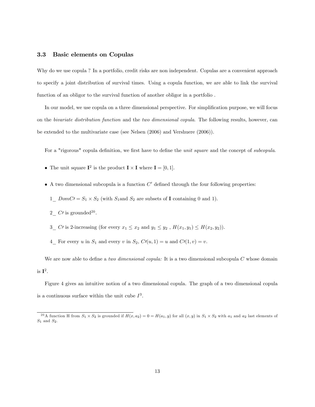#### 3.3 Basic elements on Copulas

Why do we use copula ? In a portfolio, credit risks are non independent. Copulas are a convenient approach to specify a joint distribution of survival times. Using a copula function, we are able to link the survival function of an obligor to the survival function of another obligor in a portfolio .

In our model, we use copula on a three dimensional perspective. For simplification purpose, we will focus on the bivariate distribution function and the two dimensional copula. The following results, however, can be extended to the multivariate case (see Nelsen (2006) and Vershuere (2006)).

For a "rigorous" copula definition, we first have to define the *unit square* and the concept of *subcopula*.

- The unit square  $I^2$  is the product  $I \times I$  where  $I = [0, 1]$ .
- $\bullet$  A two dimensional subcopula is a function  $C'$  defined through the four following properties:
	- $1 \text{ }$  DomC $\ell$  =  $S_1 \times S_2$  (with  $S_1$  and  $S_2$  are subsets of **I** containing 0 and 1).
	- $2\degree$  C/ is grounded<sup>20</sup>.
	- 3\_ Ct is 2-increasing (for every  $x_1 \le x_2$  and  $y_1 \le y_2$ ,  $H(x_1, y_1) \le H(x_2, y_2)$ ).
	- 4 For every u in  $S_1$  and every v in  $S_2$ ,  $C\prime(u, 1) = u$  and  $C\prime(1, v) = v$ .

We are now able to define a *two dimensional copula*: It is a two dimensional subcopula  $C$  whose domain is  $\mathbf{I}^2$ .

Figure 4 gives an intuitive notion of a two dimensional copula. The graph of a two dimensional copula is a continuous surface within the unit cube  $I^3$ .

<sup>&</sup>lt;sup>20</sup> A function H from  $S_1 \times S_2$  is grounded if  $H(x, a_2) = 0 = H(a_1, y)$  for all  $(x, y)$  in  $S_1 \times S_2$  with  $a_1$  and  $a_2$  last elements of  $S_1$  and  $S_2$ .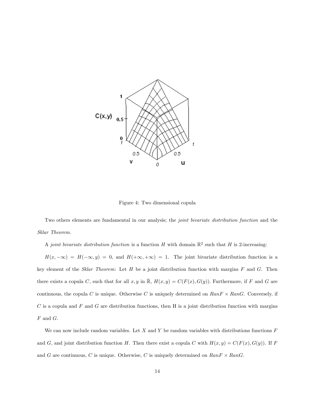

Figure 4: Two dimensional copula

Two others elements are fundamental in our analysis; the *joint bivariate distribution function* and the Sklar Theorem.

A *joint bivariate distribution function* is a function H with domain  $\mathbb{R}^2$  such that H is 2-increasing:

 $H(x, -\infty) = H(-\infty, y) = 0$ , and  $H(+\infty, +\infty) = 1$ . The joint bivariate distribution function is a key element of the Sklar Theorem: Let  $H$  be a joint distribution function with margins  $F$  and  $G$ . Then there exists a copula C, such that for all  $x, y$  in  $\overline{\mathbb{R}}$ ,  $H(x, y) = C(F(x), G(y))$ . Furthermore, if F and G are continuous, the copula C is unique. Otherwise C is uniquely determined on  $Rank \times RanG$ . Conversely, if  $C$  is a copula and  $F$  and  $G$  are distribution functions, then H is a joint distribution function with margins  $F$  and  $G$ .

We can now include random variables. Let X and Y be random variables with distributions functions  $F$ and G, and joint distribution function H. Then there exist a copula C with  $H(x, y) = C(F(x), G(y))$ . If F and G are continuous, C is unique. Otherwise, C is uniquely determined on  $RanF \times RanG$ .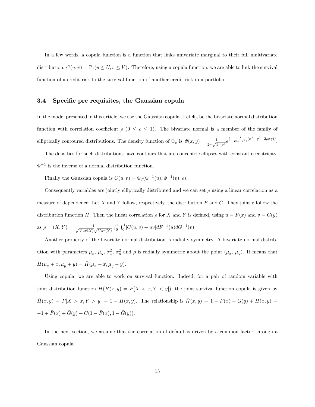In a few words, a copula function is a function that links univariate marginal to their full multivariate distribution:  $C(u, v) = Pr(u \leq U, v \leq V)$ . Therefore, using a copula function, we are able to link the survival function of a credit risk to the survival function of another credit risk in a portfolio.

#### 3.4 Specific pre requisites, the Gaussian copula

In the model presented in this article, we use the Gaussian copula. Let  $\Phi_{\rho}$  be the bivariate normal distribution function with correlation coefficient  $\rho$  ( $0 \leq \rho \leq 1$ ). The bivariate normal is a member of the family of elliptically contoured distributions. The density function of  $\Phi_{\rho}$  is  $\Phi(x, y) = \frac{1}{2\pi\sqrt{1-\rho^2}}e^{(-\frac{1}{2(1-\rho^2)}(x^2+y^2-2\rho xy))}$ .

The densities for such distributions have contours that are concentric ellipses with constant eccentricity.  $\Phi^{-1}$  is the inverse of a normal distribution function.

Finally the Gaussian copula is  $C(u, v) = \Phi_2(\Phi^{-1}(u), \Phi^{-1}(v), \rho)$ .

Consequently variables are jointly elliptically distributed and we can set  $\rho$  using a linear correlation as a measure of dependence: Let  $X$  and  $Y$  follow, respectively, the distribution  $F$  and  $G$ . They jointly follow the distribution function H. Then the linear correlation  $\rho$  for X and Y is defined, using  $u = F(x)$  and  $v = G(y)$ as  $\rho = (X, Y) = \frac{1}{\sqrt{Var(X)}}$  $\frac{1}{Var(X)}\frac{1}{\sqrt{Var(Y)}}\int_0^1\int_0^1 [C(u,v)-uv]dF^{-1}(u)dG^{-1}(v).$ 

Another property of the bivariate normal distribution is radially symmetry. A bivariate normal distribution with parameters  $\mu_x$ ,  $\mu_y$ ,  $\sigma_x^2$ ,  $\sigma_y^2$  and  $\rho$  is radially symmetric about the point  $(\mu_x, \mu_y)$ . It means that  $H(\mu_x+x,\mu_y+y)=\bar{H}(\mu_x-x,\mu_y-y).$ 

Using copula, we are able to work on survival function. Indeed, for a pair of random variable with joint distribution function  $H(H(x, y) = P[X \langle x, Y \langle y] \rangle)$ , the joint survival function copula is given by  $\overline{H}(x,y) = P[X > x, Y > y] = 1 - H(x,y)$ . The relationship is  $\overline{H}(x,y) = 1 - F(x) - G(y) + H(x,y) =$  $-1 + \bar{F}(x) + \bar{G}(y) + C(1 - \bar{F}(x), 1 - \bar{G}(y)).$ 

In the next section, we assume that the correlation of default is driven by a common factor through a Gaussian copula.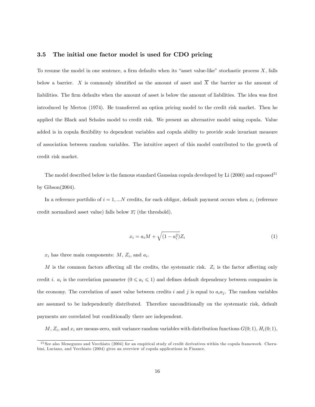#### 3.5 The initial one factor model is used for CDO pricing

To resume the model in one sentence, a firm defaults when its "asset value-like" stochastic process  $X$ , falls below a barrier. X is commonly identified as the amount of asset and  $\overline{X}$  the barrier as the amount of liabilities. The firm defaults when the amount of asset is below the amount of liabilities. The idea was first introduced by Merton (1974). He transferred an option pricing model to the credit risk market. Then he applied the Black and Scholes model to credit risk. We present an alternative model using copula. Value added is in copula flexibility to dependent variables and copula ability to provide scale invariant measure of association between random variables. The intuitive aspect of this model contributed to the growth of credit risk market.

The model described below is the famous standard Gaussian copula developed by Li  $(2000)$  and exposed<sup>21</sup> by Gibson(2004).

In a reference portfolio of  $i = 1, ...N$  credits, for each obligor, default payment occurs when  $x_i$  (reference credit normalized asset value) falls below  $\overline{x_i}$  (the threshold).

$$
x_i = a_i M + \sqrt{(1 - a_i^2)} Z_i
$$
\n(1)

 $x_i$  has three main components:  $M$ ,  $Z_i$ , and  $a_i$ .

M is the common factors affecting all the credits, the systematic risk.  $Z_i$  is the factor affecting only credit *i*.  $a_i$  is the correlation parameter  $(0 \le a_i \le 1)$  and defines default dependency between companies in the economy. The correlation of asset value between credits i and j is equal to  $a_i a_j$ . The random variables are assumed to be independently distributed. Therefore unconditionally on the systematic risk, default payments are correlated but conditionally there are independent.

 $M, Z_i$ , and  $x_i$  are means-zero, unit variance random variables with distribution functions  $G(0, 1), H_i(0, 1)$ ,

 $21$  See also Meneguzzo and Vecchiato (2004) for an empirical study of credit derivatives within the copula framework. Cherubini, Luciano, and Vecchiato (2004) gives an overview of copula applications in Finance.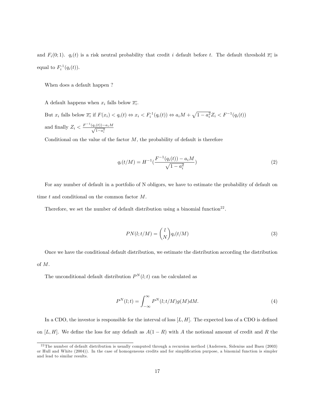and  $F_i(0;1)$ .  $q_i(t)$  is a risk neutral probability that credit i default before t. The default threshold  $\overline{x_i}$  is equal to  $F_i^{\text{-}1}(q_i(t))$ .

When does a default happen ?

A default happens when  $x_i$  falls below  $\overline{x_i}$ .

But  $x_i$  falls below  $\overline{x_i}$  if  $F(x_i) < q_i(t) \Leftrightarrow x_i < F_i^{-1}(q_i(t)) \Leftrightarrow a_i M + \sqrt{1 - a_i^2} Z_i < F^{-1}(q_i(t))$ and finally  $Z_i < \frac{F^{-1}(q_i(t)) - a_i M}{\sqrt{1 - a_i^2}}$ 

Conditional on the value of the factor  $M$ , the probability of default is therefore

$$
q_i(t/M) = H^{-1}\left(\frac{F^{-1}(q_i(t)) - a_i M}{\sqrt{1 - a_i^2}}\right)
$$
\n<sup>(2)</sup>

For any number of default in a portfolio of N obligors, we have to estimate the probability of default on time t and conditional on the common factor M.

Therefore, we set the number of default distribution using a binomial function<sup>22</sup>.

$$
PN(l; t/M) = \binom{l}{N} q_i(t/M) \tag{3}
$$

Once we have the conditional default distribution, we estimate the distribution according the distribution of M.

The unconditional default distribution  $P^{N}(l;t)$  can be calculated as

$$
P^{N}(l;t) = \int_{-\infty}^{\infty} P^{N}(l;t/M)g(M)dM.
$$
\n(4)

In a CDO, the investor is responsible for the interval of loss  $[L, H]$ . The expected loss of a CDO is defined on  $[L, H]$ . We define the loss for any default as  $A(1 - R)$  with A the notional amount of credit and R the

 $^{22}$ The number of default distribution is usually computed through a recursion method (Andersen, Sidenius and Basu (2003) or Hull and White (2004)). In the case of homogeneous credits and for simplification purpose, a binomial function is simpler and lead to similar results.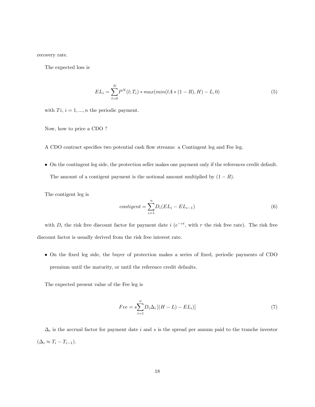recovery rate.

The expected loss is

$$
EL_i = \sum_{l=0}^{N} P^{N}(l; T_i) * max(min(lA * (1 - R), H) - L, 0)
$$
\n(5)

with  $Ti, i = 1, ..., n$  the periodic payment.

Now, how to price a CDO ?

A CDO contract specifies two potential cash flow streams: a Contingent leg and Fee leg.

 On the contingent leg side, the protection seller makes one payment only if the references credit default. The amount of a contigent payment is the notional amount multiplied by  $(1 - R)$ .

The contigent leg is

$$
contigent = \sum_{i=1}^{n} D_i (EL_i - EL_{i-1})
$$
\n(6)

with  $D_i$  the risk free discount factor for payment date i  $(e^{-rt}$ , with r the risk free rate). The risk free discount factor is usually derived from the risk free interest rate.

 On the Öxed leg side, the buyer of protection makes a series of Öxed, periodic payments of CDO premium until the maturity, or until the reference credit defaults.

The expected present value of the Fee leg is

$$
Fee = s\sum_{i=1}^{n} D_i \Delta_i \left[ (H - L) - EL_i \right] \tag{7}
$$

 $\Delta_i$  is the accrual factor for payment date i and s is the spread per annum paid to the tranche investor  $(\Delta_i \approx T_i - T_{i-1}).$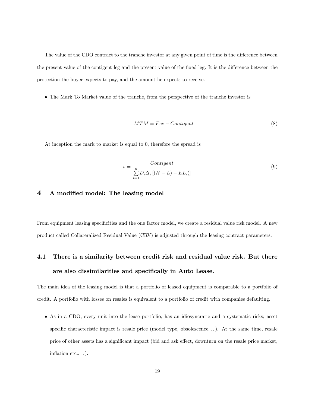The value of the CDO contract to the tranche investor at any given point of time is the difference between the present value of the contigent leg and the present value of the fixed leg. It is the difference between the protection the buyer expects to pay, and the amount he expects to receive.

The Mark To Market value of the tranche, from the perspective of the tranche investor is

$$
MTM = Free-Contigent
$$
\n(8)

At inception the mark to market is equal to 0, therefore the spread is

$$
s = \frac{Contigent}{\sum_{i=1}^{n} D_i \Delta_i \left[ (H - L) - EL_i \right]}\tag{9}
$$

#### 4 A modified model: The leasing model

From equipment leasing specificities and the one factor model, we create a residual value risk model. A new product called Collateralized Residual Value (CRV) is adjusted through the leasing contract parameters.

# 4.1 There is a similarity between credit risk and residual value risk. But there are also dissimilarities and specifically in Auto Lease.

The main idea of the leasing model is that a portfolio of leased equipment is comparable to a portfolio of credit. A portfolio with losses on resales is equivalent to a portfolio of credit with companies defaulting.

 As in a CDO, every unit into the lease portfolio, has an idiosyncratic and a systematic risks; asset specific characteristic impact is resale price (model type, obsolescence...). At the same time, resale price of other assets has a significant impact (bid and ask effect, downturn on the resale price market, inflation  $etc...$ ...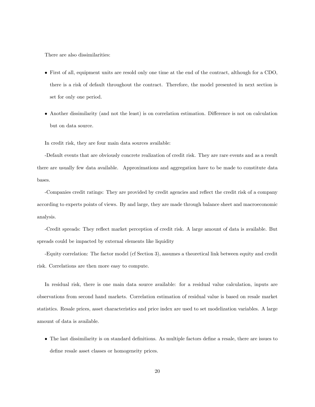There are also dissimilarities:

- First of all, equipment units are resold only one time at the end of the contract, although for a CDO, there is a risk of default throughout the contract. Therefore, the model presented in next section is set for only one period.
- Another dissimilarity (and not the least) is on correlation estimation. Difference is not on calculation but on data source.

In credit risk, they are four main data sources available:

-Default events that are obviously concrete realization of credit risk. They are rare events and as a result there are usually few data available. Approximations and aggregation have to be made to constitute data bases.

-Companies credit ratings: They are provided by credit agencies and reflect the credit risk of a company according to experts points of views. By and large, they are made through balance sheet and macroeconomic analysis.

-Credit spreads: They reflect market perception of credit risk. A large amount of data is available. But spreads could be impacted by external elements like liquidity

-Equity correlation: The factor model (cf Section 3), assumes a theoretical link between equity and credit risk. Correlations are then more easy to compute.

In residual risk, there is one main data source available: for a residual value calculation, inputs are observations from second hand markets. Correlation estimation of residual value is based on resale market statistics. Resale prices, asset characteristics and price index are used to set modelization variables. A large amount of data is available.

• The last dissimilarity is on standard definitions. As multiple factors define a resale, there are issues to define resale asset classes or homogeneity prices.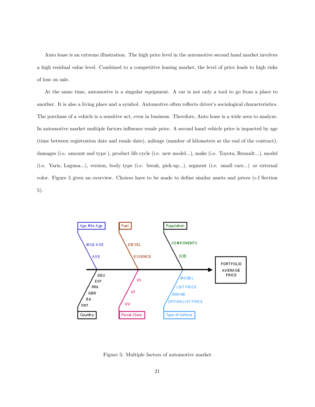Auto lease is an extreme illustration. The high price level in the automotive second hand market involves a high residual value level. Combined to a competitive leasing market, the level of price leads to high risks of loss on sale.

At the same time, automotive is a singular equipment. A car is not only a tool to go from a place to another. It is also a living place and a symbol. Automotive often reflects driver's sociological characteristics. The purchase of a vehicle is a sensitive act, even in business. Therefore, Auto lease is a wide area to analyze. In automotive market multiple factors influence resale price. A second hand vehicle price is impacted by age (time between registration date and resale date), mileage (number of kilometers at the end of the contract), damages (i.e. amount and type), product life cycle (i.e. new model...), make (i.e. Toyota, Renault...), model (i.e. Yaris, Laguna...), version, body type (i.e. break, pick-up...), segment (i.e. small cars...) or external color. Figure 5 gives an overview. Choices have to be made to define similar assets and prices (c.f Section 5).



Figure 5: Multiple factors of automotive market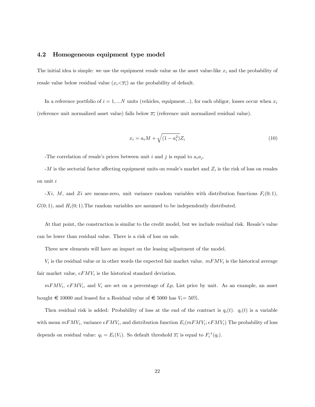#### 4.2 Homogeneous equipment type model

The initial idea is simple: we use the equipment resale value as the asset value-like  $x_i$  and the probability of resale value below residual value  $(x_i \langle \overline{x_i})$  as the probability of default.

In a reference portfolio of  $i = 1, ...N$  units (vehicles, equipment...), for each obligor, losses occur when  $x_i$ (reference unit normalized asset value) falls below  $\overline{x_i}$  (reference unit normalized residual value).

$$
x_i = a_i M + \sqrt{(1 - a_i^2)} Z_i \tag{10}
$$

-The correlation of resale's prices between unit i and j is equal to  $a_i a_j$ .

 $-M$  is the sectorial factor affecting equipment units on resale's market and  $Z_i$  is the risk of loss on resales on unit  $i$ 

 $-Xi$ , M, and Zi are means-zero, unit variance random variables with distribution functions  $F_i(0;1)$ ,  $G(0, 1)$ , and  $H_i(0, 1)$ . The random variables are assumed to be independently distributed.

At that point, the construction is similar to the credit model, but we include residual risk. Resale's value can be lower than residual value. There is a risk of loss on sale.

Three new elements will have an impact on the leasing adjustment of the model.

 $V_i$  is the residual value or in other words the expected fair market value.  $mFMV_i$  is the historical average fair market value,  $eFMV_i$  is the historical standard deviation.

 $mFMV_i$ ,  $eFMV_i$ , and  $V_i$  are set on a percentage of  $Lp$ , List price by unit. As an example, an asset bought  $\epsilon$  10000 and leased for a Residual value of  $\epsilon$  5000 has  $V_i=50\%$ .

Then residual risk is added: Probability of loss at the end of the contract is  $q_i(t)$ .  $q_i(t)$  is a variable with mean  $mFMV_i$ , variance  $eFMV_i$ , and distribution function  $E_i(mFMV_i; eFMV_i)$  The probability of loss depends on residual value:  $q_i = E_i(V_i)$ . So default threshold  $\overline{x_i}$  is equal to  $F_i^{-1}(q_i)$ .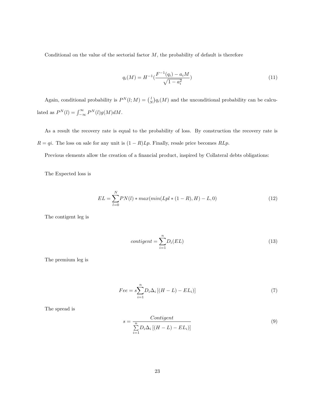Conditional on the value of the sectorial factor  $M$ , the probability of default is therefore

$$
q_i(M) = H^{-1}(\frac{F^{-1}(q_i) - a_i M}{\sqrt{1 - a_i^2}})
$$
\n(11)

Again, conditional probability is  $P^{N}(l; M) = {l \choose N} q_i(M)$  and the unconditional probability can be calculated as  $P^{N}(l) = \int_{-\infty}^{\infty} P^{N}(l)g(M)dM$ .

As a result the recovery rate is equal to the probability of loss. By construction the recovery rate is  $R = qi$ . The loss on sale for any unit is  $(1 - R)Lp$ . Finally, resale price becomes  $RLp$ .

Previous elements allow the creation of a financial product, inspired by Collateral debts obligations:

The Expected loss is

$$
EL = \sum_{l=0}^{N} PN(l) * max(min(Lpl * (1 - R), H) - L, 0)
$$
\n(12)

The contigent leg is

$$
contigent = \sum_{i=1}^{n} D_i(EL)
$$
\n(13)

The premium leg is

$$
Fee = s\sum_{i=1}^{n} D_i \Delta_i \left[ (H - L) - EL_i \right] \tag{7}
$$

The spread is

$$
s = \frac{Continent}{\sum_{i=1}^{n} D_i \Delta_i \left[ (H - L) - EL_i \right]}
$$
\n
$$
(9)
$$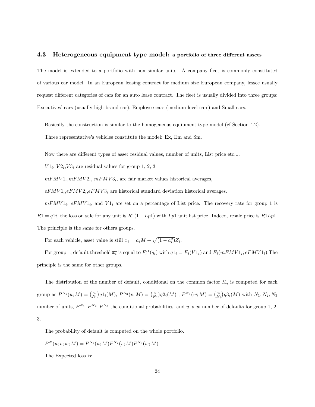#### 4.3 Heterogeneous equipment type model: a portfolio of three different assets

The model is extended to a portfolio with non similar units. A company fleet is commonly constituted of various car model. In an European leasing contract for medium size European company, lessee usually request different categories of cars for an auto lease contract. The fleet is usually divided into three groups: Executives' cars (usually high brand car), Employee cars (medium level cars) and Small cars.

Basically the construction is similar to the homogeneous equipment type model (cf Section 4.2). Three representative's vehicles constitute the model: Ex, Em and Sm.

Now there are different types of asset residual values, number of units, List price etc....

 $VI_i$ ,  $V2_i$ ,  $V3_i$  are residual values for group 1, 2, 3

 $mFMV1_i, mFMV2_i, mFMV3_i$ , are fair market values historical averages,

 $eFMV1_i,eFMV2_i,eFMV3_i$  are historical standard deviation historical averages.

 $mFMV1_i$ ,  $eFMV1_i$ , and  $V1_i$  are set on a percentage of List price. The recovery rate for group 1 is  $R1 = q1i$ , the loss on sale for any unit is  $R1(1-Lp1)$  with Lp1 unit list price. Indeed, resale price is  $R1Lp1$ . The principle is the same for others groups.

For each vehicle, asset value is still  $x_i = a_i M + \sqrt{(1 - a_i^2)} Z_i$ .

For group 1, default threshold  $\overline{x_i}$  is equal to  $F_i^{-1}(q_i)$  with  $q1_i = E_i(V1_i)$  and  $E_i(mFMV1_i; eFMV1_i)$ . The principle is the same for other groups.

The distribution of the number of default, conditional on the common factor M, is computed for each group as  $P^{N_1}(u;M) = {u \choose N_1} q 1_i(M)$ ,  $P^{N_2}(v;M) = {v \choose N_2} q 2_i(M)$ ,  $P^{N_3}(w;M) = {w \choose N_3} q 3_i(M)$  with  $N_1, N_2, N_3$ number of units,  $P^{N_1}, P^{N_2}, P^{N_3}$  the conditional probabilities, and  $u, v, w$  number of defaults for group 1, 2, 3.

The probability of default is computed on the whole portfolio.

$$
P^{N}(u; v; w; M) = P^{N_1}(u; M) P^{N_2}(v; M) P^{N_3}(w; M)
$$

The Expected loss is: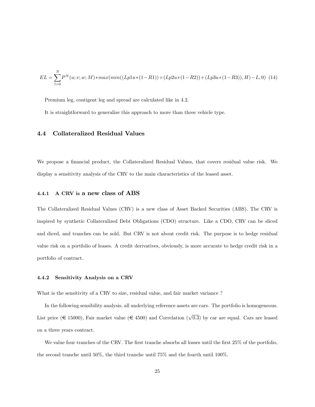$$
EL = \sum_{l=0}^{N} P^{N}(u; v; w; M) * max(min((Lp1u*(1-R1)) + (Lp2u*(1-R2)) + (Lp3u*(1-R3)), H) - L, 0)
$$
 (14)

Premium leg, contigent leg and spread are calculated like in 4.2.

It is straightforward to generalize this approach to more than three vehicle type.

#### 4.4 Collateralized Residual Values

We propose a financial product, the Collateralized Residual Values, that covers residual value risk. We display a sensitivity analysis of the CRV to the main characteristics of the leased asset.

#### 4.4.1 A CRV is a new class of ABS

The Collateralized Residual Values (CRV) is a new class of Asset Backed Securities (ABS). The CRV is inspired by synthetic Collateralized Debt Obligations (CDO) structure. Like a CDO, CRV can be sliced and diced, and tranches can be sold. But CRV is not about credit risk. The purpose is to hedge residual value risk on a portfolio of leases. A credit derivatives, obviously, is more accurate to hedge credit risk in a portfolio of contract.

#### 4.4.2 Sensitivity Analysis on a CRV

What is the sensitivity of a CRV to size, residual value, and fair market variance ?

In the following sensibility analysis, all underlying reference assets are cars. The portfolio is homogeneous. List price ( $\in$  15000), Fair market value ( $\in$  4500) and Correlation ( $\sqrt{0.3}$ ) by car are equal. Cars are leased on a three years contract.

We value four tranches of the CRV. The first tranche absorbs all losses until the first 25% of the portfolio, the second tranche until 50%, the third tranche until 75% and the fourth until 100%.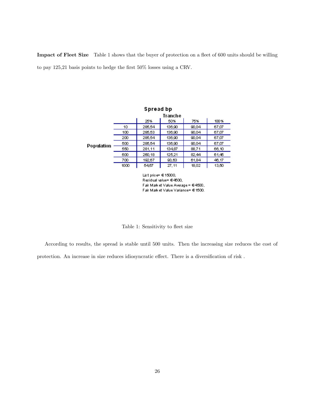Impact of Fleet Size Table 1 shows that the buyer of protection on a fleet of 600 units should be willing to pay 125,21 basis points to hedge the first  $50\%$  losses using a CRV.



Fair Mark et Value Variance= € 1500.

Table 1: Sensitivity to fleet size

According to results, the spread is stable until 500 units. Then the increasing size reduces the cost of protection. An increase in size reduces idiosyncratic effect. There is a diversification of risk .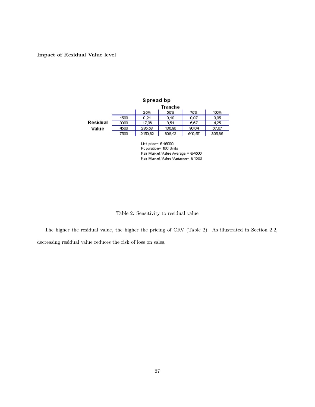#### Impact of Residual Value level







The higher the residual value, the higher the pricing of CRV (Table 2). As illustrated in Section 2.2, decreasing residual value reduces the risk of loss on sales.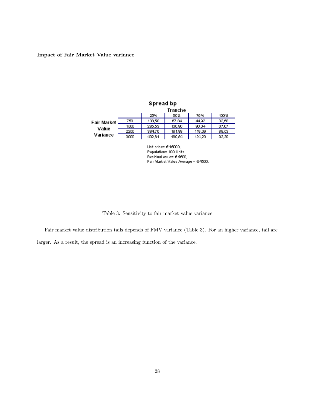#### Impact of Fair Market Value variance



Fair Mark et Value Average = €4500,

Table 3: Sensitivity to fair market value variance

Fair market value distribution tails depends of FMV variance (Table 3). For an higher variance, tail are larger. As a result, the spread is an increasing function of the variance.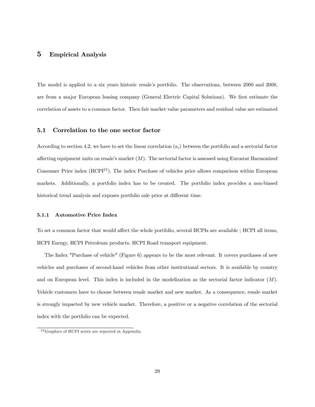### 5 Empirical Analysis

The model is applied to a six years historic resale's portfolio. The observations, between 2000 and 2008, are from a major European leasing company (General Electric Capital Solutions). We first estimate the correlation of assets to a common factor. Then fair market value parameters and residual value are estimated

#### 5.1 Correlation to the one sector factor

According to section 4.2, we have to set the linear correlation  $(a_i)$  between the portfolio and a sectorial factor affecting equipment units on resale's market  $(M)$ . The sectorial factor is assessed using Eurostat Harmonized Consumer Price index (HCPI<sup>23</sup>). The index Purchase of vehicles price allows comparison within European markets. Additionally, a portfolio index has to be created. The portfolio index provides a non-biased historical trend analysis and exposes portfolio sale price at different time.

#### 5.1.1 Automotive Price Index

To set a common factor that would affect the whole portfolio, several HCPIs are available ; HCPI all items, HCPI Energy, HCPI Petroleum products, HCPI Road transport equipment.

The Index "Purchase of vehicle" (Figure 6) appears to be the most relevant. It covers purchases of new vehicles and purchases of second-hand vehicles from other institutional sectors. It is available by country and on European level. This index is included in the modelization as the sectorial factor indicator  $(M)$ . Vehicle customers have to choose between resale market and new market. As a consequence, resale market is strongly impacted by new vehicle market. Therefore, a positive or a negative correlation of the sectorial index with the portfolio can be expected.

 $23$  Graphics of HCPI series are reported in Appendix.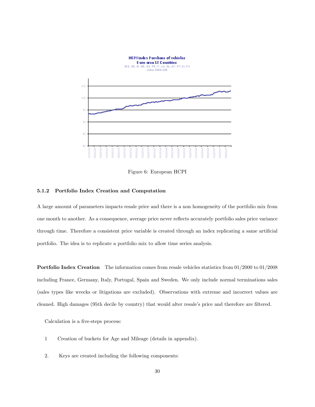

Figure 6: European HCPI

#### 5.1.2 Portfolio Index Creation and Computation

A large amount of parameters impacts resale price and there is a non homogeneity of the portfolio mix from one month to another. As a consequence, average price never reáects accurately portfolio sales price variance through time. Therefore a consistent price variable is created through an index replicating a same artificial portfolio. The idea is to replicate a portfolio mix to allow time series analysis.

Portfolio Index Creation The information comes from resale vehicles statistics from 01/2000 to 01/2008 including France, Germany, Italy, Portugal, Spain and Sweden. We only include normal terminations sales (sales types like wrecks or litigations are excluded). Observations with extreme and incorrect values are cleaned. High damages (95th decile by country) that would alter resale's price and therefore are filtered.

Calculation is a five-steps process:

- 1 Creation of buckets for Age and Mileage (details in appendix).
- 2. Keys are created including the following components: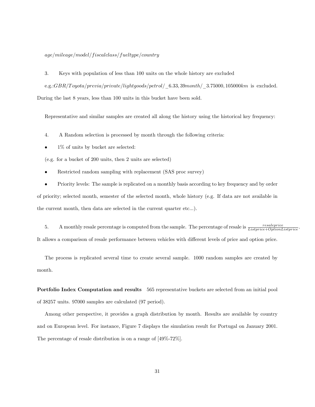$age/mileage/model/fiscal class/fueltype/country$ 

3. Keys with population of less than 100 units on the whole history are excluded

e.g.: $GBR/T oyota/previa/private/light goods/petrol/6.33; 39 month/3.75000, 105000 km$  is excluded.

During the last 8 years, less than 100 units in this bucket have been sold.

Representative and similar samples are created all along the history using the historical key frequency:

- 4. A Random selection is processed by month through the following criteria:
- 1% of units by bucket are selected:

(e.g. for a bucket of 200 units, then 2 units are selected)

- Restricted random sampling with replacement (SAS proc survey)
- Priority levels: The sample is replicated on a monthly basis according to key frequency and by order

of priority; selected month, semester of the selected month, whole history (e.g. If data are not available in the current month, then data are selected in the current quarter etc...).

5. A monthly resale percentage is computed from the sample. The percentage of resale is  $\frac{resaleprice}{Listprice+OptionListprice}$ . It allows a comparison of resale performance between vehicles with different levels of price and option price.

The process is replicated several time to create several sample. 1000 random samples are created by month.

Portfolio Index Computation and results 565 representative buckets are selected from an initial pool of 38257 units. 97000 samples are calculated (97 period).

Among other perspective, it provides a graph distribution by month. Results are available by country and on European level. For instance, Figure 7 displays the simulation result for Portugal on January 2001. The percentage of resale distribution is on a range of [49%-72%].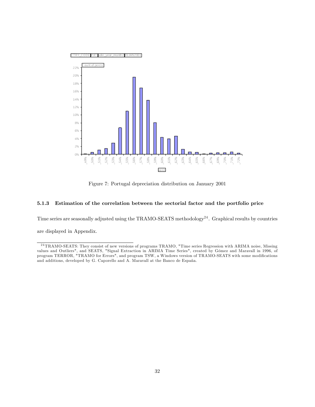

Figure 7: Portugal depreciation distribution on January 2001

#### 5.1.3 Estimation of the correlation between the sectorial factor and the portfolio price

Time series are seasonally adjusted using the TRAMO-SEATS methodology<sup>24</sup>. Graphical results by countries are displayed in Appendix.

<sup>&</sup>lt;sup>24</sup> TRAMO-SEATS: They consist of new versions of programs TRAMO, "Time series Regression with ARIMA noise, Missing values and Outliers", and SEATS, "Signal Extraction in ARIMA Time Series", created by Gómez and Maravall in 1996, of program TERROR, "TRAMO for Errors", and program TSW, a Windows version of TRAMO-SEATS with some modifications and additions, developed by G. Caporello and A. Maravall at the Banco de España.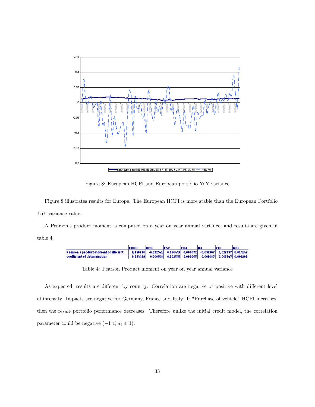

Figure 8: European HCPI and European portfolio YoY variance

Figure 8 illustrates results for Europe. The European HCPI is more stable than the European Portfolio YoY variance value.

A Pearsonís product moment is computed on a year on year annual variance, and results are given in table 4.



Table 4: Pearson Product moment on year on year annual variance

As expected, results are different by country. Correlation are negative or positive with different level of intensity. Impacts are negative for Germany, France and Italy. If "Purchase of vehicle" HCPI increases, then the resale portfolio performance decreases. Therefore unlike the initial credit model, the correlation parameter could be negative  $(-1 \leq a_i \leq 1)$ .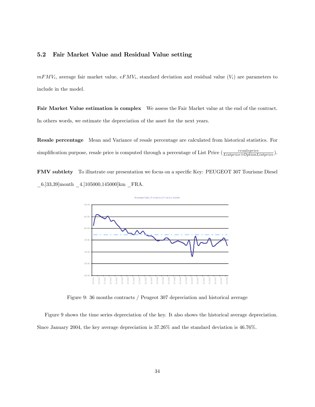#### 5.2 Fair Market Value and Residual Value setting

 $mFMV_i$ , average fair market value,  $eFMV_i$ , standard deviation and residual value  $(V_i)$  are parameters to include in the model.

Fair Market Value estimation is complex We assess the Fair Market value at the end of the contract. In others words, we estimate the depreciation of the asset for the next years.

Resale percentage Mean and Variance of resale percentage are calculated from historical statistics. For simplification purpose, resale price is computed through a percentage of List Price  $(\frac{resal-price}{Listprice+OptionListprice})$ .

FMV subtlety To illustrate our presentation we focus on a specific Key: PEUGEOT 307 Tourisme Diesel \_6.]33,39]month \_4.]105000,145000]km \_FRA.



Figure 9: 36 months contracts / Peugeot 307 depreciation and historical average

Figure 9 shows the time series depreciation of the key. It also shows the historical average depreciation. Since January 2004, the key average depreciation is 37.26% and the standard deviation is 46.76%.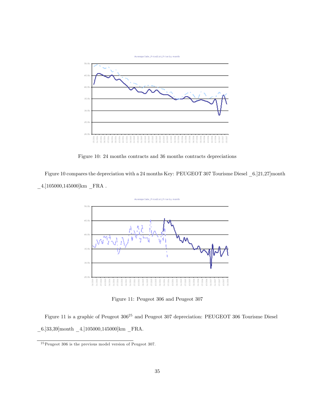

Figure 10: 24 months contracts and 36 months contracts depreciations

Figure 10 compares the depreciation with a 24 months Key: PEUGEOT 307 Tourisme Diesel \_6.]21,27]month  $\_4.]105000,\!145000]\mathrm{km}\_\mathrm{FRA}$  .



Figure 11: Peugeot 306 and Peugeot 307

Figure 11 is a graphic of Peugeot  $306^{25}$  and Peugeot 307 depreciation: PEUGEOT 306 Tourisme Diesel  $\_6.]33,39] \mathrm{month}$   $\_4.]105000,145000] \mathrm{km}$   $\_ \mathrm{FRA}.$ 

 $25$  Peugeot 306 is the previous model version of Peugeot 307.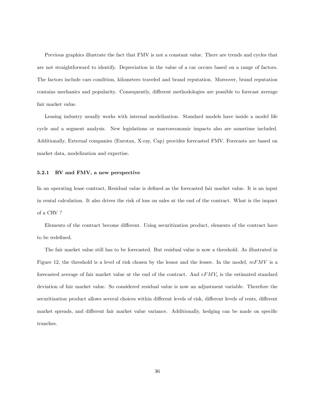Previous graphics illustrate the fact that FMV is not a constant value. There are trends and cycles that are not straightforward to identify. Depreciation in the value of a car occurs based on a range of factors. The factors include cars condition, kilometers traveled and brand reputation. Moreover, brand reputation contains mechanics and popularity. Consequently, different methodologies are possible to forecast average fair market value.

Leasing industry usually works with internal modelization. Standard models have inside a model life cycle and a segment analysis. New legislations or macroeconomic impacts also are sometime included. Additionally, External companies (Eurotax, X-ray, Cap) provides forecasted FMV. Forecasts are based on market data, modelization and expertise.

#### 5.2.1 RV and FMV, a new perspective

In an operating lease contract, Residual value is defined as the forecasted fair market value. It is an input in rental calculation. It also drives the risk of loss on sales at the end of the contract. What is the impact of a CRV ?

Elements of the contract become different. Using securitization product, elements of the contract have to be redefined.

The fair market value still has to be forecasted. But residual value is now a threshold. As illustrated in Figure 12, the threshold is a level of risk chosen by the lessor and the lessee. In the model,  $mFMV$  is a forecasted average of fair market value at the end of the contract. And  $eFMV_i$  is the estimated standard deviation of fair market value. So considered residual value is now an adjustment variable. Therefore the securitization product allows several choices within different levels of risk, different levels of rents, different market spreads, and different fair market value variance. Additionally, hedging can be made on specific tranches.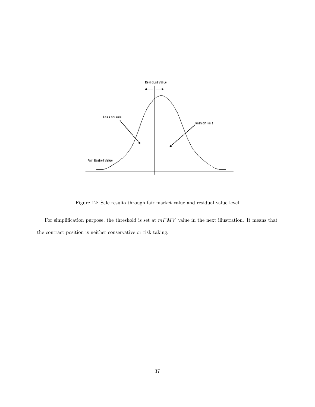

Figure 12: Sale results through fair market value and residual value level

For simplification purpose, the threshold is set at  $mFMV$  value in the next illustration. It means that the contract position is neither conservative or risk taking.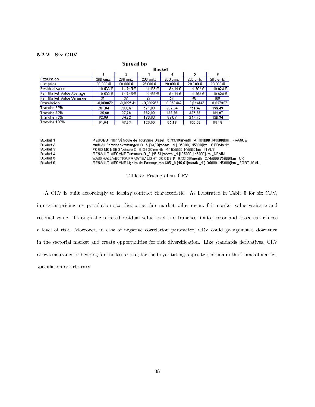#### 5.2.2 Six CRV

#### Spread bp

|                            | Bucket      |             |             |           |           |           |
|----------------------------|-------------|-------------|-------------|-----------|-----------|-----------|
|                            |             | 2           | 3           | 4         | 5.        | 6         |
| Population                 | 200 units   | 200 units   | 200 units   | 200 units | 200 units | 200 units |
| List price                 | 30 000 €    | 30 000 €    | 25 000 €    | 20 000 €  | 20000€    | 20000€    |
| Residual value             | 10 533 €    | 14745€      | 4468€       | 8414E     | 4 262 €   | 10 628€   |
| Fair Market Value Average  | 10,533€     | 14745€      | 4468€       | 8414€     | 4 262 €   | 10 628€   |
| Fair Market Value Variance | 31          | 37          | 27          | 57        | 48.       | 168       |
| Correlation                | $-0.008072$ | $-0.022541$ | $-0.032967$ | 0.050449  | 0014147   | 0,027337  |
| Tranche 25%                | 261.04      | 200.37      | 571.03      | 282.84    | 751.42    | 399,49    |
| Tranche 50%                | 125,60      | 9726        | 262,99      | 133,85    | 337,65    | 184,97    |
| Tranche 75%                | 82,69       | 6422        | 170,83      | 87,67     | 217,75    | 120,34    |
| Tranche 100%               | 61.64       | 47.93       | 126.50      | 65,18     | 160.69    | 89.18     |

| Bucket 1 | PEUGEOT 307 Véhicule de Tourisme Diesel _6.]33,39]month _4.]105000,145000]km _FRANCE      |
|----------|-------------------------------------------------------------------------------------------|
| Bucket 2 | Audi A4 Personenkraftwagen D = 6.133.391month = 4.1105000.1450001km = G.ERMANY            |
| Bucket 3 | FORD MONDEO Vetture D 6.133.391 month 4.1105000.1450001km ITALY                           |
| Bucket 4 | RENAULT MÉGANE Turismos D_8.]45,51]month _4.]105000,145000]km _S PAIN                     |
| Bucket 5 | VAUXHALL VECTRA PRIVATE / LIGHT GO ODS P 6.133.39 Imonth 2.145000.750001km UK.            |
| Bucket 6 | RENAULT MEGANE Ligeiro de Passageiros \$95 _8.]45,51]month _4.]105000,145000]km _PORTUGAL |

Table 5: Pricing of six CRV

A CRV is built accordingly to leasing contract characteristic. As illustrated in Table 5 for six CRV, inputs in pricing are population size, list price, fair market value mean, fair market value variance and residual value. Through the selected residual value level and tranches limits, lessor and lessee can choose a level of risk. Moreover, in case of negative correlation parameter, CRV could go against a downturn in the sectorial market and create opportunities for risk diversification. Like standards derivatives, CRV allows insurance or hedging for the lessor and, for the buyer taking opposite position in the financial market, speculation or arbitrary.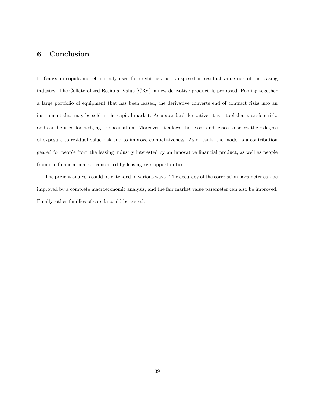# 6 Conclusion

Li Gaussian copula model, initially used for credit risk, is transposed in residual value risk of the leasing industry. The Collateralized Residual Value (CRV), a new derivative product, is proposed. Pooling together a large portfolio of equipment that has been leased, the derivative converts end of contract risks into an instrument that may be sold in the capital market. As a standard derivative, it is a tool that transfers risk, and can be used for hedging or speculation. Moreover, it allows the lessor and lessee to select their degree of exposure to residual value risk and to improve competitiveness. As a result, the model is a contribution geared for people from the leasing industry interested by an innovative financial product, as well as people from the financial market concerned by leasing risk opportunities.

The present analysis could be extended in various ways. The accuracy of the correlation parameter can be improved by a complete macroeconomic analysis, and the fair market value parameter can also be improved. Finally, other families of copula could be tested.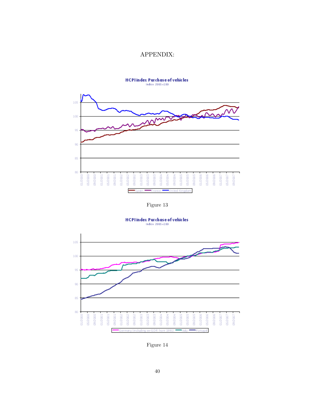## APPENDIX:



Figure 13



Figure 14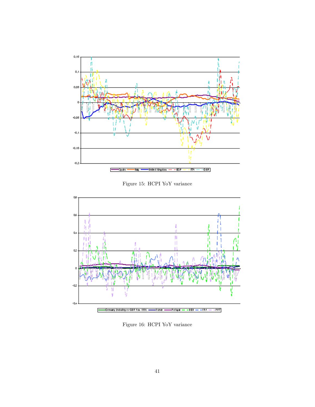

Figure 15: HCPI YoY variance



Figure 16: HCPI YoY variance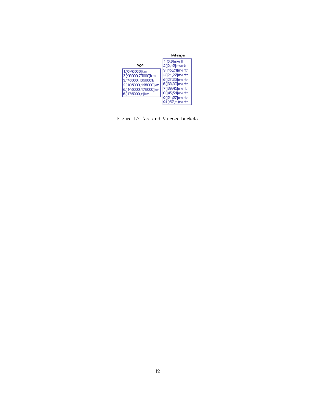|                                                                                                                          | Mileage                                                                                                       |
|--------------------------------------------------------------------------------------------------------------------------|---------------------------------------------------------------------------------------------------------------|
|                                                                                                                          | 1.[0,9] month<br>2.19, 15] month                                                                              |
| 1.10,450001km<br>2.]46000,75000jkm<br>3.175000,1050001km<br>4.1105000,1450001km<br>5.]145000,175000]km<br>6.1175000,+lkm | 3.]15,21]month<br>4.]21,27]month<br>5.127,331 month<br> 6.]33,39] month<br>7.]39,45] month<br> 8.]45,51]month |
|                                                                                                                          | 9.]51,57]month<br>91.]57,+[month                                                                              |

Figure 17: Age and Mileage buckets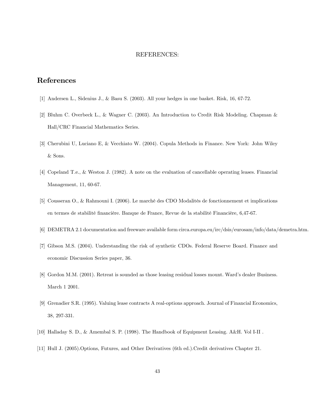#### REFERENCES:

## References

- [1] Andersen L., Sidenius J., & Basu S. (2003). All your hedges in one basket. Risk, 16, 67-72.
- [2] Bluhm C. Overbeck L., & Wagner C. (2003). An Introduction to Credit Risk Modeling. Chapman & Hall/CRC Financial Mathematics Series.
- [3] Cherubini U, Luciano E, & Vecchiato W. (2004). Copula Methods in Finance. New York: John Wiley & Sons.
- [4] Copeland T.e., & Weston J. (1982). A note on the evaluation of cancellable operating leases. Financial Management, 11, 60-67.
- [5] Cousseran O., & Rahmouni I. (2006). Le marché des CDO Modalités de fonctionnement et implications en termes de stabilité financière. Banque de France, Revue de la stabilité Financière, 6,47-67.
- [6] DEMETRA 2.1 documentation and freeware available form circa.europa.eu/irc/dsis/eurosam/info/data/demetra.htm.
- [7] Gibson M.S. (2004). Understanding the risk of synthetic CDOs. Federal Reserve Board. Finance and economic Discussion Series paper, 36.
- [8] Gordon M.M. (2001). Retreat is sounded as those leasing residual losses mount. Ward's dealer Business. March 1 2001.
- [9] Grenadier S.R. (1995). Valuing lease contracts A real-options approach. Journal of Financial Economics, 38, 297-331.
- [10] Halladay S. D., & Amembal S. P. (1998). The Handbook of Equipment Leasing. A&H. Vol I-II .
- [11] Hull J. (2005).Options, Futures, and Other Derivatives (6th ed.).Credit derivatives Chapter 21.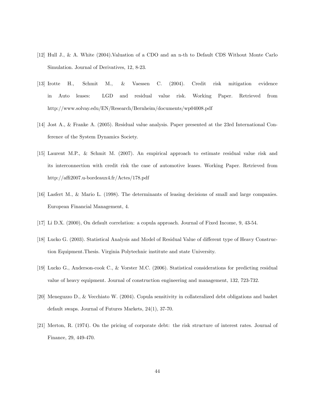- [12] Hull J., & A. White (2004).Valuation of a CDO and an n-th to Default CDS Without Monte Carlo Simulation. Journal of Derivatives, 12, 8-23.
- [13] Irotte H., Schmit M., & Vaessen C. (2004). Credit risk mitigation evidence in Auto leases: LGD and residual value risk. Working Paper. Retrieved from http://www.solvay.edu/EN/Research/Bernheim/documents/wp04008.pdf
- [14] Jost A., & Franke A. (2005). Residual value analysis. Paper presented at the 23rd International Conference of the System Dynamics Society.
- [15] Laurent M.P., & Schmit M. (2007). An empirical approach to estimate residual value risk and its interconnection with credit risk the case of automotive leases. Working Paper. Retrieved from http://affi2007.u-bordeaux4.fr/Actes/178.pdf
- [16] Lasfert M., & Mario L. (1998). The determinants of leasing decisions of small and large companies. European Financial Management, 4.
- [17] Li D.X. (2000), On default correlation: a copula approach. Journal of Fixed Income, 9, 43-54.
- [18] Lucko G. (2003). Statistical Analysis and Model of Residual Value of different type of Heavy Construction Equipment.Thesis. Virginia Polytechnic institute and state University.
- [19] Lucko G., Anderson-cook C., & Vorster M.C. (2006). Statistical considerations for predicting residual value of heavy equipment. Journal of construction engineering and management, 132, 723-732.
- [20] Meneguzzo D., & Vecchiato W. (2004). Copula sensitivity in collateralized debt obligations and basket default swaps. Journal of Futures Markets, 24(1), 37-70.
- [21] Merton, R. (1974). On the pricing of corporate debt: the risk structure of interest rates. Journal of Finance, 29, 449-470.